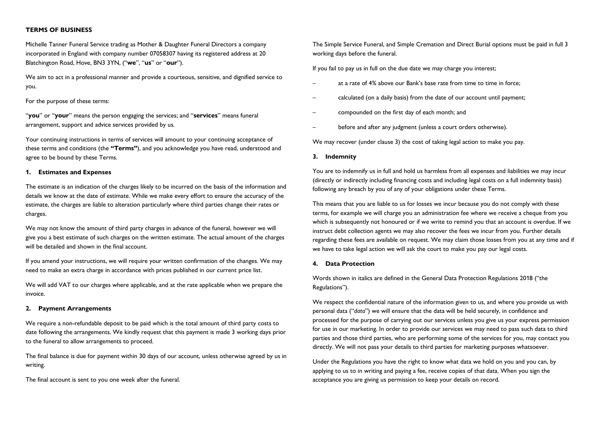# **TERMS OF BUSINESS**

Michelle Tanner Funeral Service trading as Mother & Daughter Funeral Directors a company incorporated in England with company number 07058307 having its registered address at 20 Blatchington Road, Hove, BN3 3YN, ("**we**", "**us**" or "**our**").

We aim to act in a professional manner and provide a courteous, sensitive, and dignified service to you.

### For the purpose of these terms:

"**you**" or "**your**" means the person engaging the services; and "**services**" means funeral arrangement, support and advice services provided by us.

Your continuing instructions in terms of services will amount to your continuing acceptance of these terms and conditions (the **"Terms"**), and you acknowledge you have read, understood and agree to be bound by these Terms.

## **1. Estimates and Expenses**

The estimate is an indication of the charges likely to be incurred on the basis of the information and details we know at the date of estimate. While we make every effort to ensure the accuracy of the estimate, the charges are liable to alteration particularly where third parties change their rates or charges.

We may not know the amount of third party charges in advance of the funeral, however we will give you a best estimate of such charges on the written estimate. The actual amount of the charges will be detailed and shown in the final account.

If you amend your instructions, we will require your written confirmation of the changes. We may need to make an extra charge in accordance with prices published in our current price list.

We will add VAT to our charges where applicable, and at the rate applicable when we prepare the invoice.

#### **2. Payment Arrangements**

We require a non-refundable deposit to be paid which is the total amount of third party costs to date following the arrangements. We kindly request that this payment is made 3 working days prior to the funeral to allow arrangements to proceed.

The final balance is due for payment within 30 days of our account, unless otherwise agreed by us in writing.

The final account is sent to you one week after the funeral.

The Simple Service Funeral, and Simple Cremation and Direct Burial options must be paid in full 3 working days before the funeral.

If you fail to pay us in full on the due date we may charge you interest;

- at a rate of 4% above our Bank's base rate from time to time in force;
- calculated (on a daily basis) from the date of our account until payment;
- compounded on the first day of each month; and
- before and after any judgment (unless a court orders otherwise).

We may recover (under clause 3) the cost of taking legal action to make you pay.

#### **3. Indemnity**

You are to indemnify us in full and hold us harmless from all expenses and liabilities we may incur (directly or indirectly including financing costs and including legal costs on a full indemnity basis) following any breach by you of any of your obligations under these Terms.

This means that you are liable to us for losses we incur because you do not comply with these terms, for example we will charge you an administration fee where we receive a cheque from you which is subsequently not honoured or if we write to remind you that an account is overdue. If we instruct debt collection agents we may also recover the fees we incur from you. Further details regarding these fees are available on request. We may claim those losses from you at any time and if we have to take legal action we will ask the court to make you pay our legal costs.

# **4. Data Protection**

Words shown in italics are defined in the General Data Protection Regulations 2018 ("the Regulations").

We respect the confidential nature of the information given to us, and where you provide us with personal data ("*data*") we will ensure that the data will be held securely, in confidence and processed for the purpose of carrying out our services unless you give us your express permission for use in our marketing. In order to provide our services we may need to pass such data to third parties and those third parties, who are performing some of the services for you, may contact you directly. We will not pass your details to third parties for marketing purposes whatsoever.

Under the Regulations you have the right to know what data we hold on you and you can, by applying to us to in writing and paying a fee, receive copies of that data. When you sign the acceptance you are giving us permission to keep your details on record.